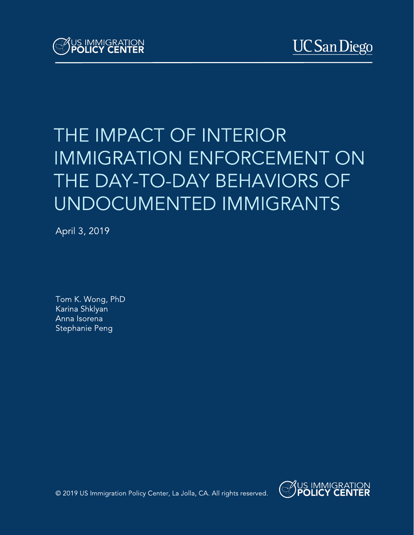# THE IMPACT OF INTERIOR **IMMIGRATION ENFORCEMENT ON** THE DAY-TO-DAY BEHAVIORS OF UNDOCUMENTED IMMIGRANTS

April 3, 2019

Tom K. Wong, PhD Karina Shklyan Anna Isorena Stephanie Peng



© 2019 US Immigration Policy Center, La Jolla, CA. All rights reserved.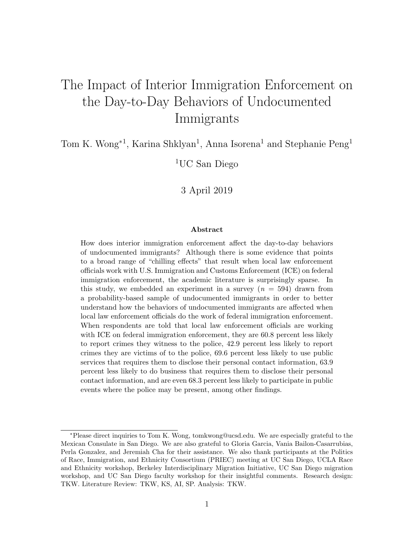## The Impact of Interior Immigration Enforcement on the Day-to-Day Behaviors of Undocumented Immigrants

Tom K. Wong<sup>\*1</sup>, Karina Shklyan<sup>1</sup>, Anna Isorena<sup>1</sup> and Stephanie Peng<sup>1</sup>

<sup>1</sup>UC San Diego

3 April 2019

#### Abstract

How does interior immigration enforcement affect the day-to-day behaviors of undocumented immigrants? Although there is some evidence that points to a broad range of "chilling effects" that result when local law enforcement officials work with U.S. Immigration and Customs Enforcement (ICE) on federal immigration enforcement, the academic literature is surprisingly sparse. In this study, we embedded an experiment in a survey  $(n = 594)$  drawn from a probability-based sample of undocumented immigrants in order to better understand how the behaviors of undocumented immigrants are affected when local law enforcement officials do the work of federal immigration enforcement. When respondents are told that local law enforcement officials are working with ICE on federal immigration enforcement, they are 60.8 percent less likely to report crimes they witness to the police, 42.9 percent less likely to report crimes they are victims of to the police, 69.6 percent less likely to use public services that requires them to disclose their personal contact information, 63.9 percent less likely to do business that requires them to disclose their personal contact information, and are even 68.3 percent less likely to participate in public events where the police may be present, among other findings.

<sup>∗</sup>Please direct inquiries to Tom K. Wong, tomkwong@ucsd.edu. We are especially grateful to the Mexican Consulate in San Diego. We are also grateful to Gloria Garcia, Vania Bailon-Casarrubias, Perla Gonzalez, and Jeremiah Cha for their assistance. We also thank participants at the Politics of Race, Immigration, and Ethnicity Consortium (PRIEC) meeting at UC San Diego, UCLA Race and Ethnicity workshop, Berkeley Interdisciplinary Migration Initiative, UC San Diego migration workshop, and UC San Diego faculty workshop for their insightful comments. Research design: TKW. Literature Review: TKW, KS, AI, SP. Analysis: TKW.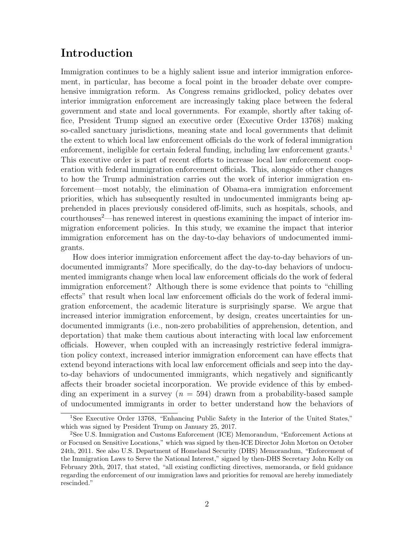## Introduction

Immigration continues to be a highly salient issue and interior immigration enforcement, in particular, has become a focal point in the broader debate over comprehensive immigration reform. As Congress remains gridlocked, policy debates over interior immigration enforcement are increasingly taking place between the federal government and state and local governments. For example, shortly after taking office, President Trump signed an executive order (Executive Order 13768) making so-called sanctuary jurisdictions, meaning state and local governments that delimit the extent to which local law enforcement officials do the work of federal immigration enforcement, ineligible for certain federal funding, including law enforcement grants.<sup>1</sup> This executive order is part of recent efforts to increase local law enforcement cooperation with federal immigration enforcement officials. This, alongside other changes to how the Trump administration carries out the work of interior immigration enforcement—most notably, the elimination of Obama-era immigration enforcement priorities, which has subsequently resulted in undocumented immigrants being apprehended in places previously considered off-limits, such as hospitals, schools, and courthouses<sup>2</sup>—has renewed interest in questions examining the impact of interior immigration enforcement policies. In this study, we examine the impact that interior immigration enforcement has on the day-to-day behaviors of undocumented immigrants.

How does interior immigration enforcement affect the day-to-day behaviors of undocumented immigrants? More specifically, do the day-to-day behaviors of undocumented immigrants change when local law enforcement officials do the work of federal immigration enforcement? Although there is some evidence that points to "chilling effects" that result when local law enforcement officials do the work of federal immigration enforcement, the academic literature is surprisingly sparse. We argue that increased interior immigration enforcement, by design, creates uncertainties for undocumented immigrants (i.e., non-zero probabilities of apprehension, detention, and deportation) that make them cautious about interacting with local law enforcement officials. However, when coupled with an increasingly restrictive federal immigration policy context, increased interior immigration enforcement can have effects that extend beyond interactions with local law enforcement officials and seep into the dayto-day behaviors of undocumented immigrants, which negatively and significantly affects their broader societal incorporation. We provide evidence of this by embedding an experiment in a survey  $(n = 594)$  drawn from a probability-based sample of undocumented immigrants in order to better understand how the behaviors of

<sup>&</sup>lt;sup>1</sup>See Executive Order 13768, "Enhancing Public Safety in the Interior of the United States," which was signed by President Trump on January 25, 2017.

<sup>2</sup>See U.S. Immigration and Customs Enforcement (ICE) Memorandum, "Enforcement Actions at or Focused on Sensitive Locations," which was signed by then-ICE Director John Morton on October 24th, 2011. See also U.S. Department of Homeland Security (DHS) Memorandum, "Enforcement of the Immigration Laws to Serve the National Interest," signed by then-DHS Secretary John Kelly on February 20th, 2017, that stated, "all existing conflicting directives, memoranda, or field guidance regarding the enforcement of our immigration laws and priorities for removal are hereby immediately rescinded."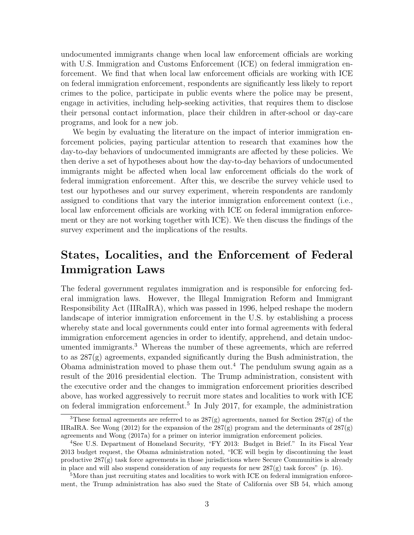undocumented immigrants change when local law enforcement officials are working with U.S. Immigration and Customs Enforcement (ICE) on federal immigration enforcement. We find that when local law enforcement officials are working with ICE on federal immigration enforcement, respondents are significantly less likely to report crimes to the police, participate in public events where the police may be present, engage in activities, including help-seeking activities, that requires them to disclose their personal contact information, place their children in after-school or day-care programs, and look for a new job.

We begin by evaluating the literature on the impact of interior immigration enforcement policies, paying particular attention to research that examines how the day-to-day behaviors of undocumented immigrants are affected by these policies. We then derive a set of hypotheses about how the day-to-day behaviors of undocumented immigrants might be affected when local law enforcement officials do the work of federal immigration enforcement. After this, we describe the survey vehicle used to test our hypotheses and our survey experiment, wherein respondents are randomly assigned to conditions that vary the interior immigration enforcement context (i.e., local law enforcement officials are working with ICE on federal immigration enforcement or they are not working together with ICE). We then discuss the findings of the survey experiment and the implications of the results.

## States, Localities, and the Enforcement of Federal Immigration Laws

The federal government regulates immigration and is responsible for enforcing federal immigration laws. However, the Illegal Immigration Reform and Immigrant Responsibility Act (IIRaIRA), which was passed in 1996, helped reshape the modern landscape of interior immigration enforcement in the U.S. by establishing a process whereby state and local governments could enter into formal agreements with federal immigration enforcement agencies in order to identify, apprehend, and detain undocumented immigrants.<sup>3</sup> Whereas the number of these agreements, which are referred to as 287(g) agreements, expanded significantly during the Bush administration, the Obama administration moved to phase them out.<sup>4</sup> The pendulum swung again as a result of the 2016 presidential election. The Trump administration, consistent with the executive order and the changes to immigration enforcement priorities described above, has worked aggressively to recruit more states and localities to work with ICE on federal immigration enforcement.<sup>5</sup> In July 2017, for example, the administration

<sup>&</sup>lt;sup>3</sup>These formal agreements are referred to as  $287(g)$  agreements, named for Section  $287(g)$  of the IIRaIRA. See Wong (2012) for the expansion of the  $287(g)$  program and the determinants of  $287(g)$ agreements and Wong (2017a) for a primer on interior immigration enforcement policies.

<sup>4</sup>See U.S. Department of Homeland Security, "FY 2013: Budget in Brief." In its Fiscal Year 2013 budget request, the Obama administration noted, "ICE will begin by discontinuing the least productive 287(g) task force agreements in those jurisdictions where Secure Communities is already in place and will also suspend consideration of any requests for new  $287(g)$  task forces" (p. 16).

<sup>&</sup>lt;sup>5</sup>More than just recruiting states and localities to work with ICE on federal immigration enforcement, the Trump administration has also sued the State of California over SB 54, which among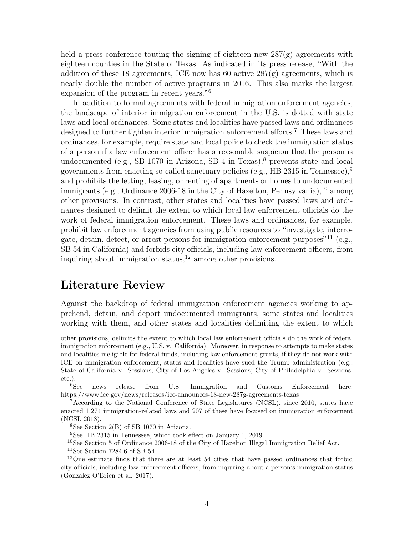held a press conference touting the signing of eighteen new  $287(g)$  agreements with eighteen counties in the State of Texas. As indicated in its press release, "With the addition of these 18 agreements, ICE now has 60 active  $287(g)$  agreements, which is nearly double the number of active programs in 2016. This also marks the largest expansion of the program in recent years."<sup>6</sup>

In addition to formal agreements with federal immigration enforcement agencies, the landscape of interior immigration enforcement in the U.S. is dotted with state laws and local ordinances. Some states and localities have passed laws and ordinances designed to further tighten interior immigration enforcement efforts.<sup>7</sup> These laws and ordinances, for example, require state and local police to check the immigration status of a person if a law enforcement officer has a reasonable suspicion that the person is undocumented (e.g., SB 1070 in Arizona, SB 4 in Texas), $\delta$  prevents state and local governments from enacting so-called sanctuary policies (e.g., HB 2315 in Tennessee),<sup>9</sup> and prohibits the letting, leasing, or renting of apartments or homes to undocumented immigrants (e.g., Ordinance 2006-18 in the City of Hazelton, Pennsylvania),<sup>10</sup> among other provisions. In contrast, other states and localities have passed laws and ordinances designed to delimit the extent to which local law enforcement officials do the work of federal immigration enforcement. These laws and ordinances, for example, prohibit law enforcement agencies from using public resources to "investigate, interrogate, detain, detect, or arrest persons for immigration enforcement purposes<sup>"11</sup> (e.g., SB 54 in California) and forbids city officials, including law enforcement officers, from inquiring about immigration status, $^{12}$  among other provisions.

## Literature Review

Against the backdrop of federal immigration enforcement agencies working to apprehend, detain, and deport undocumented immigrants, some states and localities working with them, and other states and localities delimiting the extent to which

<sup>8</sup>See Section 2(B) of SB 1070 in Arizona.

<sup>9</sup>See HB 2315 in Tennessee, which took effect on January 1, 2019.

<sup>10</sup>See Section 5 of Ordinance 2006-18 of the City of Hazelton Illegal Immigration Relief Act.

<sup>11</sup>See Section 7284.6 of SB 54.

other provisions, delimits the extent to which local law enforcement officials do the work of federal immigration enforcement (e.g., U.S. v. California). Moreover, in response to attempts to make states and localities ineligible for federal funds, including law enforcement grants, if they do not work with ICE on immigration enforcement, states and localities have sued the Trump administration (e.g., State of California v. Sessions; City of Los Angeles v. Sessions; City of Philadelphia v. Sessions; etc.).

<sup>6</sup>See news release from U.S. Immigration and Customs Enforcement here: https://www.ice.gov/news/releases/ice-announces-18-new-287g-agreements-texas

<sup>7</sup>According to the National Conference of State Legislatures (NCSL), since 2010, states have enacted 1,274 immigration-related laws and 207 of these have focused on immigration enforcement (NCSL 2018).

<sup>12</sup>One estimate finds that there are at least 54 cities that have passed ordinances that forbid city officials, including law enforcement officers, from inquiring about a person's immigration status (Gonzalez O'Brien et al. 2017).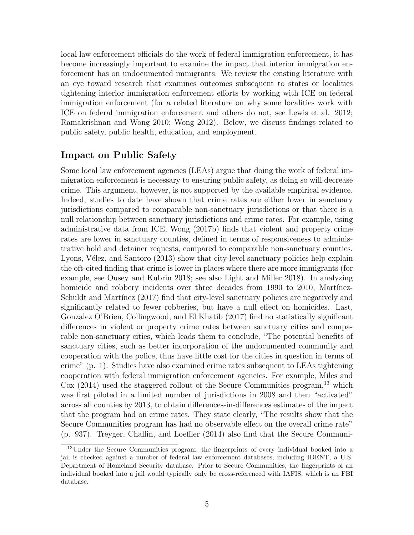local law enforcement officials do the work of federal immigration enforcement, it has become increasingly important to examine the impact that interior immigration enforcement has on undocumented immigrants. We review the existing literature with an eye toward research that examines outcomes subsequent to states or localities tightening interior immigration enforcement efforts by working with ICE on federal immigration enforcement (for a related literature on why some localities work with ICE on federal immigration enforcement and others do not, see Lewis et al. 2012; Ramakrishnan and Wong 2010; Wong 2012). Below, we discuss findings related to public safety, public health, education, and employment.

#### Impact on Public Safety

Some local law enforcement agencies (LEAs) argue that doing the work of federal immigration enforcement is necessary to ensuring public safety, as doing so will decrease crime. This argument, however, is not supported by the available empirical evidence. Indeed, studies to date have shown that crime rates are either lower in sanctuary jurisdictions compared to comparable non-sanctuary jurisdictions or that there is a null relationship between sanctuary jurisdictions and crime rates. For example, using administrative data from ICE, Wong (2017b) finds that violent and property crime rates are lower in sanctuary counties, defined in terms of responsiveness to administrative hold and detainer requests, compared to comparable non-sanctuary counties. Lyons, Vélez, and Santoro (2013) show that city-level sanctuary policies help explain the oft-cited finding that crime is lower in places where there are more immigrants (for example, see Ousey and Kubrin 2018; see also Light and Miller 2018). In analyzing homicide and robbery incidents over three decades from 1990 to 2010, Martínez-Schuldt and Martínez (2017) find that city-level sanctuary policies are negatively and significantly related to fewer robberies, but have a null effect on homicides. Last, Gonzalez O'Brien, Collingwood, and El Khatib (2017) find no statistically significant differences in violent or property crime rates between sanctuary cities and comparable non-sanctuary cities, which leads them to conclude, "The potential benefits of sanctuary cities, such as better incorporation of the undocumented community and cooperation with the police, thus have little cost for the cities in question in terms of crime" (p. 1). Studies have also examined crime rates subsequent to LEAs tightening cooperation with federal immigration enforcement agencies. For example, Miles and  $Cox$  (2014) used the staggered rollout of the Secure Communities program,<sup>13</sup> which was first piloted in a limited number of jurisdictions in 2008 and then "activated" across all counties by 2013, to obtain differences-in-differences estimates of the impact that the program had on crime rates. They state clearly, "The results show that the Secure Communities program has had no observable effect on the overall crime rate" (p. 937). Treyger, Chalfin, and Loeffler (2014) also find that the Secure Communi-

<sup>&</sup>lt;sup>13</sup>Under the Secure Communities program, the fingerprints of every individual booked into a jail is checked against a number of federal law enforcement databases, including IDENT, a U.S. Department of Homeland Security database. Prior to Secure Communities, the fingerprints of an individual booked into a jail would typically only be cross-referenced with IAFIS, which is an FBI database.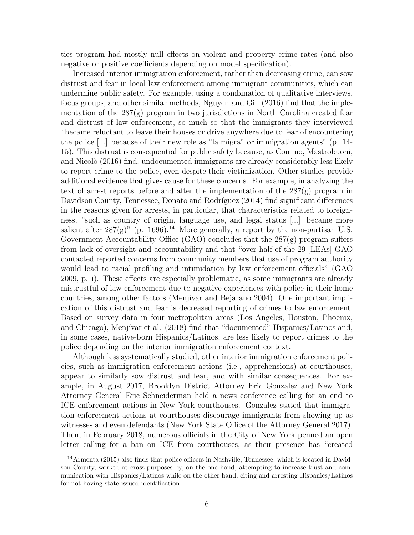ties program had mostly null effects on violent and property crime rates (and also negative or positive coefficients depending on model specification).

Increased interior immigration enforcement, rather than decreasing crime, can sow distrust and fear in local law enforcement among immigrant communities, which can undermine public safety. For example, using a combination of qualitative interviews, focus groups, and other similar methods, Nguyen and Gill (2016) find that the implementation of the 287(g) program in two jurisdictions in North Carolina created fear and distrust of law enforcement, so much so that the immigrants they interviewed "became reluctant to leave their houses or drive anywhere due to fear of encountering the police [...] because of their new role as "la migra" or immigration agents" (p. 14- 15). This distrust is consequential for public safety because, as Comino, Mastrobuoni, and Nicolò (2016) find, undocumented immigrants are already considerably less likely to report crime to the police, even despite their victimization. Other studies provide additional evidence that gives cause for these concerns. For example, in analyzing the text of arrest reports before and after the implementation of the 287(g) program in Davidson County, Tennessee, Donato and Rodríguez (2014) find significant differences in the reasons given for arrests, in particular, that characteristics related to foreignness, "such as country of origin, language use, and legal status [...] became more salient after  $287(g)$ " (p. 1696).<sup>14</sup> More generally, a report by the non-partisan U.S. Government Accountability Office (GAO) concludes that the 287(g) program suffers from lack of oversight and accountability and that "over half of the 29 [LEAs] GAO contacted reported concerns from community members that use of program authority would lead to racial profiling and intimidation by law enforcement officials" (GAO 2009, p. i). These effects are especially problematic, as some immigrants are already mistrustful of law enforcement due to negative experiences with police in their home countries, among other factors (Menjívar and Bejarano 2004). One important implication of this distrust and fear is decreased reporting of crimes to law enforcement. Based on survey data in four metropolitan areas (Los Angeles, Houston, Phoenix, and Chicago), Menjívar et al. (2018) find that "documented" Hispanics/Latinos and, in some cases, native-born Hispanics/Latinos, are less likely to report crimes to the police depending on the interior immigration enforcement context.

Although less systematically studied, other interior immigration enforcement policies, such as immigration enforcement actions (i.e., apprehensions) at courthouses, appear to similarly sow distrust and fear, and with similar consequences. For example, in August 2017, Brooklyn District Attorney Eric Gonzalez and New York Attorney General Eric Schneiderman held a news conference calling for an end to ICE enforcement actions in New York courthouses. Gonzalez stated that immigration enforcement actions at courthouses discourage immigrants from showing up as witnesses and even defendants (New York State Office of the Attorney General 2017). Then, in February 2018, numerous officials in the City of New York penned an open letter calling for a ban on ICE from courthouses, as their presence has "created

<sup>14</sup>Armenta (2015) also finds that police officers in Nashville, Tennessee, which is located in Davidson County, worked at cross-purposes by, on the one hand, attempting to increase trust and communication with Hispanics/Latinos while on the other hand, citing and arresting Hispanics/Latinos for not having state-issued identification.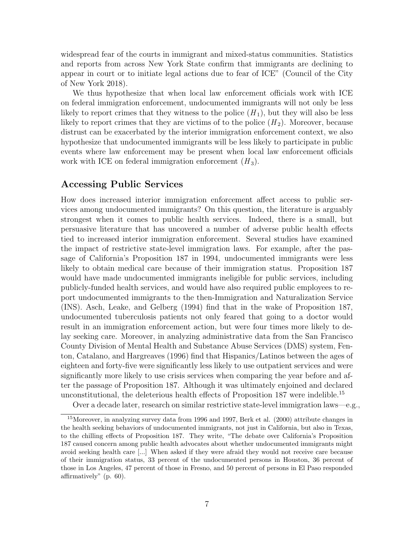widespread fear of the courts in immigrant and mixed-status communities. Statistics and reports from across New York State confirm that immigrants are declining to appear in court or to initiate legal actions due to fear of ICE" (Council of the City of New York 2018).

We thus hypothesize that when local law enforcement officials work with ICE on federal immigration enforcement, undocumented immigrants will not only be less likely to report crimes that they witness to the police  $(H_1)$ , but they will also be less likely to report crimes that they are victims of to the police  $(H_2)$ . Moreover, because distrust can be exacerbated by the interior immigration enforcement context, we also hypothesize that undocumented immigrants will be less likely to participate in public events where law enforcement may be present when local law enforcement officials work with ICE on federal immigration enforcement  $(H_3)$ .

#### Accessing Public Services

How does increased interior immigration enforcement affect access to public services among undocumented immigrants? On this question, the literature is arguably strongest when it comes to public health services. Indeed, there is a small, but persuasive literature that has uncovered a number of adverse public health effects tied to increased interior immigration enforcement. Several studies have examined the impact of restrictive state-level immigration laws. For example, after the passage of California's Proposition 187 in 1994, undocumented immigrants were less likely to obtain medical care because of their immigration status. Proposition 187 would have made undocumented immigrants ineligible for public services, including publicly-funded health services, and would have also required public employees to report undocumented immigrants to the then-Immigration and Naturalization Service (INS). Asch, Leake, and Gelberg (1994) find that in the wake of Proposition 187, undocumented tuberculosis patients not only feared that going to a doctor would result in an immigration enforcement action, but were four times more likely to delay seeking care. Moreover, in analyzing administrative data from the San Francisco County Division of Mental Health and Substance Abuse Services (DMS) system, Fenton, Catalano, and Hargreaves (1996) find that Hispanics/Latinos between the ages of eighteen and forty-five were significantly less likely to use outpatient services and were significantly more likely to use crisis services when comparing the year before and after the passage of Proposition 187. Although it was ultimately enjoined and declared unconstitutional, the deleterious health effects of Proposition 187 were indelible.<sup>15</sup>

Over a decade later, research on similar restrictive state-level immigration laws—e.g.,

<sup>15</sup>Moreover, in analyzing survey data from 1996 and 1997, Berk et al. (2000) attribute changes in the health seeking behaviors of undocumented immigrants, not just in California, but also in Texas, to the chilling effects of Proposition 187. They write, "The debate over California's Proposition 187 caused concern among public health advocates about whether undocumented immigrants might avoid seeking health care [...] When asked if they were afraid they would not receive care because of their immigration status, 33 percent of the undocumented persons in Houston, 36 percent of those in Los Angeles, 47 percent of those in Fresno, and 50 percent of persons in El Paso responded affirmatively" (p. 60).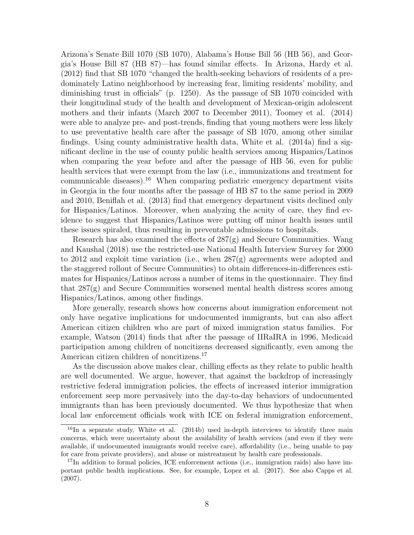Arizona's Senate Bill 1070 (SB 1070), Alabama's House Bill 56 (HB 56), and Georgia's House Bill 87 (HB 87)—has found similar effects. In Arizona, Hardy et al. (2012) find that SB 1070 "changed the health-seeking behaviors of residents of a predominately Latino neighborhood by increasing fear, limiting residents' mobility, and diminishing trust in officials" (p. 1250). As the passage of SB 1070 coincided with their longitudinal study of the health and development of Mexican-origin adolescent mothers and their infants (March 2007 to December 2011), Toomey et al. (2014) were able to analyze pre- and post-trends, finding that young mothers were less likely to use preventative health care after the passage of SB 1070, among other similar findings. Using county administrative health data, White et al. (2014a) find a significant decline in the use of county public health services among Hispanics/Latinos when comparing the year before and after the passage of HB 56, even for public health services that were exempt from the law (i.e., immunizations and treatment for communicable diseases).<sup>16</sup> When comparing pediatric emergency department visits in Georgia in the four months after the passage of HB 87 to the same period in 2009 and 2010, Beniflah et al. (2013) find that emergency department visits declined only for Hispanics/Latinos. Moreover, when analyzing the acuity of care, they find evidence to suggest that Hispanics/Latinos were putting off minor health issues until these issues spiraled, thus resulting in preventable admissions to hospitals.

Research has also examined the effects of  $287(g)$  and Secure Communities. Wang and Kaushal (2018) use the restricted-use National Health Interview Survey for 2000 to 2012 and exploit time variation (i.e., when 287(g) agreements were adopted and the staggered rollout of Secure Communities) to obtain differences-in-differences estimates for Hispanics/Latinos across a number of items in the questionnaire. They find that 287(g) and Secure Communities worsened mental health distress scores among Hispanics/Latinos, among other findings.

More generally, research shows how concerns about immigration enforcement not only have negative implications for undocumented immigrants, but can also affect American citizen children who are part of mixed immigration status families. For example, Watson (2014) finds that after the passage of IIRaIRA in 1996, Medicaid participation among children of noncitizens decreased significantly, even among the American citizen children of noncitizens.<sup>17</sup>

As the discussion above makes clear, chilling effects as they relate to public health are well documented. We argue, however, that against the backdrop of increasingly restrictive federal immigration policies, the effects of increased interior immigration enforcement seep more pervasively into the day-to-day behaviors of undocumented immigrants than has been previously documented. We thus hypothesize that when local law enforcement officials work with ICE on federal immigration enforcement,

 $^{16}$ In a separate study, White et al. (2014b) used in-depth interviews to identify three main concerns, which were uncertainty about the availability of health services (and even if they were available, if undocumented immigrants would receive care), affordability (i.e., being unable to pay for care from private providers), and abuse or mistreatment by health care professionals.

 $17$ In addition to formal policies, ICE enforcement actions (i.e., immigration raids) also have important public health implications. See, for example, Lopez et al. (2017). See also Capps et al. (2007).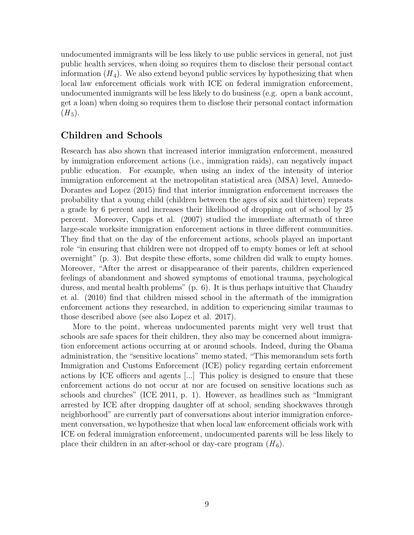undocumented immigrants will be less likely to use public services in general, not just public health services, when doing so requires them to disclose their personal contact information  $(H_4)$ . We also extend beyond public services by hypothesizing that when local law enforcement officials work with ICE on federal immigration enforcement, undocumented immigrants will be less likely to do business (e.g. open a bank account, get a loan) when doing so requires them to disclose their personal contact information  $(H_5).$ 

#### Children and Schools

Research has also shown that increased interior immigration enforcement, measured by immigration enforcement actions (i.e., immigration raids), can negatively impact public education. For example, when using an index of the intensity of interior immigration enforcement at the metropolitan statistical area (MSA) level, Amuedo-Dorantes and Lopez (2015) find that interior immigration enforcement increases the probability that a young child (children between the ages of six and thirteen) repeats a grade by 6 percent and increases their likelihood of dropping out of school by 25 percent. Moreover, Capps et al. (2007) studied the immediate aftermath of three large-scale worksite immigration enforcement actions in three different communities. They find that on the day of the enforcement actions, schools played an important role "in ensuring that children were not dropped off to empty homes or left at school overnight" (p. 3). But despite these efforts, some children did walk to empty homes. Moreover, "After the arrest or disappearance of their parents, children experienced feelings of abandonment and showed symptoms of emotional trauma, psychological duress, and mental health problems" (p. 6). It is thus perhaps intuitive that Chaudry et al. (2010) find that children missed school in the aftermath of the immigration enforcement actions they researched, in addition to experiencing similar traumas to those described above (see also Lopez et al. 2017).

More to the point, whereas undocumented parents might very well trust that schools are safe spaces for their children, they also may be concerned about immigration enforcement actions occurring at or around schools. Indeed, during the Obama administration, the "sensitive locations" memo stated, "This memorandum sets forth Immigration and Customs Enforcement (ICE) policy regarding certain enforcement actions by ICE officers and agents [...] This policy is designed to ensure that these enforcement actions do not occur at nor are focused on sensitive locations such as schools and churches" (ICE 2011, p. 1). However, as headlines such as "Immigrant arrested by ICE after dropping daughter off at school, sending shockwaves through neighborhood" are currently part of conversations about interior immigration enforcement conversation, we hypothesize that when local law enforcement officials work with ICE on federal immigration enforcement, undocumented parents will be less likely to place their children in an after-school or day-care program  $(H_6)$ .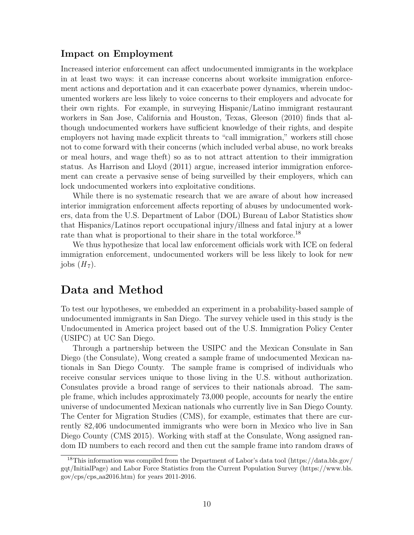#### Impact on Employment

Increased interior enforcement can affect undocumented immigrants in the workplace in at least two ways: it can increase concerns about worksite immigration enforcement actions and deportation and it can exacerbate power dynamics, wherein undocumented workers are less likely to voice concerns to their employers and advocate for their own rights. For example, in surveying Hispanic/Latino immigrant restaurant workers in San Jose, California and Houston, Texas, Gleeson (2010) finds that although undocumented workers have sufficient knowledge of their rights, and despite employers not having made explicit threats to "call immigration," workers still chose not to come forward with their concerns (which included verbal abuse, no work breaks or meal hours, and wage theft) so as to not attract attention to their immigration status. As Harrison and Lloyd (2011) argue, increased interior immigration enforcement can create a pervasive sense of being surveilled by their employers, which can lock undocumented workers into exploitative conditions.

While there is no systematic research that we are aware of about how increased interior immigration enforcement affects reporting of abuses by undocumented workers, data from the U.S. Department of Labor (DOL) Bureau of Labor Statistics show that Hispanics/Latinos report occupational injury/illness and fatal injury at a lower rate than what is proportional to their share in the total workforce.<sup>18</sup>

We thus hypothesize that local law enforcement officials work with ICE on federal immigration enforcement, undocumented workers will be less likely to look for new jobs  $(H_7)$ .

## Data and Method

To test our hypotheses, we embedded an experiment in a probability-based sample of undocumented immigrants in San Diego. The survey vehicle used in this study is the Undocumented in America project based out of the U.S. Immigration Policy Center (USIPC) at UC San Diego.

Through a partnership between the USIPC and the Mexican Consulate in San Diego (the Consulate), Wong created a sample frame of undocumented Mexican nationals in San Diego County. The sample frame is comprised of individuals who receive consular services unique to those living in the U.S. without authorization. Consulates provide a broad range of services to their nationals abroad. The sample frame, which includes approximately 73,000 people, accounts for nearly the entire universe of undocumented Mexican nationals who currently live in San Diego County. The Center for Migration Studies (CMS), for example, estimates that there are currently 82,406 undocumented immigrants who were born in Mexico who live in San Diego County (CMS 2015). Working with staff at the Consulate, Wong assigned random ID numbers to each record and then cut the sample frame into random draws of

<sup>18</sup>This information was compiled from the Department of Labor's data tool (https://data.bls.gov/ gqt/InitialPage) and Labor Force Statistics from the Current Population Survey (https://www.bls.  $gov/cps/cps_aa2016.htm)$  for years 2011-2016.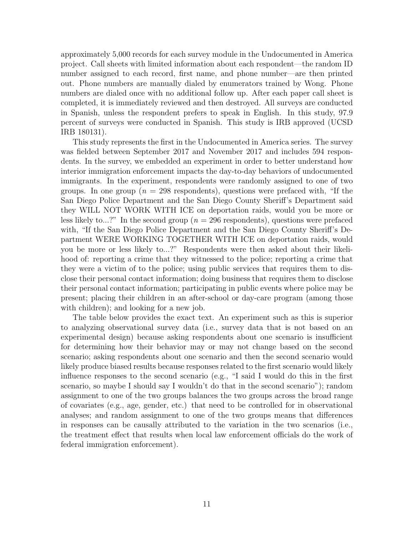approximately 5,000 records for each survey module in the Undocumented in America project. Call sheets with limited information about each respondent—the random ID number assigned to each record, first name, and phone number—are then printed out. Phone numbers are manually dialed by enumerators trained by Wong. Phone numbers are dialed once with no additional follow up. After each paper call sheet is completed, it is immediately reviewed and then destroyed. All surveys are conducted in Spanish, unless the respondent prefers to speak in English. In this study, 97.9 percent of surveys were conducted in Spanish. This study is IRB approved (UCSD IRB 180131).

This study represents the first in the Undocumented in America series. The survey was fielded between September 2017 and November 2017 and includes 594 respondents. In the survey, we embedded an experiment in order to better understand how interior immigration enforcement impacts the day-to-day behaviors of undocumented immigrants. In the experiment, respondents were randomly assigned to one of two groups. In one group ( $n = 298$  respondents), questions were prefaced with, "If the San Diego Police Department and the San Diego County Sheriff's Department said they WILL NOT WORK WITH ICE on deportation raids, would you be more or less likely to...?" In the second group ( $n = 296$  respondents), questions were prefaced with, "If the San Diego Police Department and the San Diego County Sheriff's Department WERE WORKING TOGETHER WITH ICE on deportation raids, would you be more or less likely to...?" Respondents were then asked about their likelihood of: reporting a crime that they witnessed to the police; reporting a crime that they were a victim of to the police; using public services that requires them to disclose their personal contact information; doing business that requires them to disclose their personal contact information; participating in public events where police may be present; placing their children in an after-school or day-care program (among those with children); and looking for a new job.

The table below provides the exact text. An experiment such as this is superior to analyzing observational survey data (i.e., survey data that is not based on an experimental design) because asking respondents about one scenario is insufficient for determining how their behavior may or may not change based on the second scenario; asking respondents about one scenario and then the second scenario would likely produce biased results because responses related to the first scenario would likely influence responses to the second scenario (e.g., "I said I would do this in the first scenario, so maybe I should say I wouldn't do that in the second scenario"); random assignment to one of the two groups balances the two groups across the broad range of covariates (e.g., age, gender, etc.) that need to be controlled for in observational analyses; and random assignment to one of the two groups means that differences in responses can be causally attributed to the variation in the two scenarios (i.e., the treatment effect that results when local law enforcement officials do the work of federal immigration enforcement).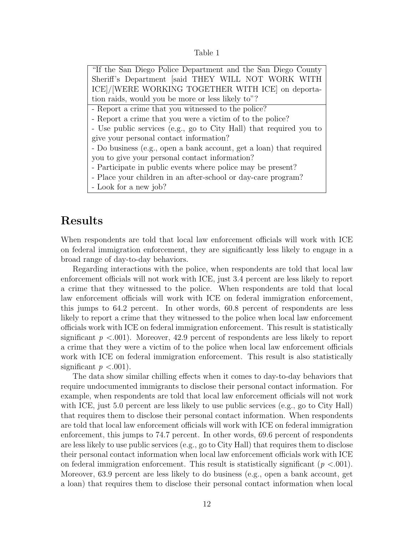| anie |  |
|------|--|
|      |  |

"If the San Diego Police Department and the San Diego County Sheriff's Department [said THEY WILL NOT WORK WITH ICE]/[WERE WORKING TOGETHER WITH ICE] on deportation raids, would you be more or less likely to"? - Report a crime that you witnessed to the police? - Report a crime that you were a victim of to the police? - Use public services (e.g., go to City Hall) that required you to give your personal contact information? - Do business (e.g., open a bank account, get a loan) that required you to give your personal contact information? - Participate in public events where police may be present? - Place your children in an after-school or day-care program? - Look for a new job?

## Results

When respondents are told that local law enforcement officials will work with ICE on federal immigration enforcement, they are significantly less likely to engage in a broad range of day-to-day behaviors.

Regarding interactions with the police, when respondents are told that local law enforcement officials will not work with ICE, just 3.4 percent are less likely to report a crime that they witnessed to the police. When respondents are told that local law enforcement officials will work with ICE on federal immigration enforcement, this jumps to 64.2 percent. In other words, 60.8 percent of respondents are less likely to report a crime that they witnessed to the police when local law enforcement officials work with ICE on federal immigration enforcement. This result is statistically significant  $p < 0.001$ ). Moreover, 42.9 percent of respondents are less likely to report a crime that they were a victim of to the police when local law enforcement officials work with ICE on federal immigration enforcement. This result is also statistically significant  $p < .001$ ).

The data show similar chilling effects when it comes to day-to-day behaviors that require undocumented immigrants to disclose their personal contact information. For example, when respondents are told that local law enforcement officials will not work with ICE, just 5.0 percent are less likely to use public services (e.g., go to City Hall) that requires them to disclose their personal contact information. When respondents are told that local law enforcement officials will work with ICE on federal immigration enforcement, this jumps to 74.7 percent. In other words, 69.6 percent of respondents are less likely to use public services (e.g., go to City Hall) that requires them to disclose their personal contact information when local law enforcement officials work with ICE on federal immigration enforcement. This result is statistically significant ( $p < .001$ ). Moreover, 63.9 percent are less likely to do business (e.g., open a bank account, get a loan) that requires them to disclose their personal contact information when local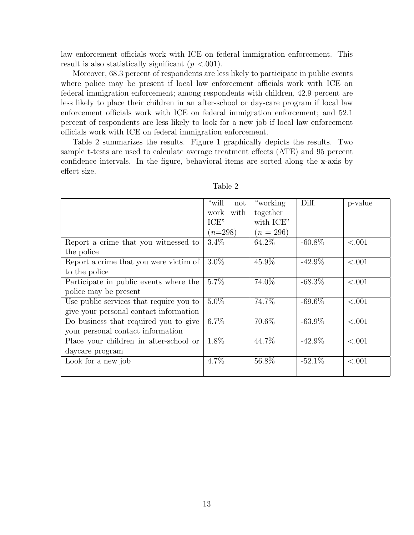law enforcement officials work with ICE on federal immigration enforcement. This result is also statistically significant ( $p < .001$ ).

Moreover, 68.3 percent of respondents are less likely to participate in public events where police may be present if local law enforcement officials work with ICE on federal immigration enforcement; among respondents with children, 42.9 percent are less likely to place their children in an after-school or day-care program if local law enforcement officials work with ICE on federal immigration enforcement; and 52.1 percent of respondents are less likely to look for a new job if local law enforcement officials work with ICE on federal immigration enforcement.

Table 2 summarizes the results. Figure 1 graphically depicts the results. Two sample t-tests are used to calculate average treatment effects (ATE) and 95 percent confidence intervals. In the figure, behavioral items are sorted along the x-axis by effect size.

|                                         | "will<br>not | "working"   | Diff.     | p-value |
|-----------------------------------------|--------------|-------------|-----------|---------|
|                                         | with<br>work | together    |           |         |
|                                         | ICE"         | with ICE"   |           |         |
|                                         | $(n=298)$    | $(n = 296)$ |           |         |
| Report a crime that you witnessed to    | $3.4\%$      | 64.2\%      | $-60.8\%$ | < .001  |
| the police                              |              |             |           |         |
| Report a crime that you were victim of  | $3.0\%$      | 45.9%       | $-42.9\%$ | < .001  |
| to the police                           |              |             |           |         |
| Participate in public events where the  | $5.7\%$      | 74.0%       | $-68.3\%$ | < .001  |
| police may be present                   |              |             |           |         |
| Use public services that require you to | $5.0\%$      | 74.7%       | $-69.6\%$ | < .001  |
| give your personal contact information  |              |             |           |         |
| Do business that required you to give   | $6.7\%$      | 70.6%       | $-63.9\%$ | < .001  |
| your personal contact information       |              |             |           |         |
| Place your children in after-school or  | 1.8%         | 44.7%       | $-42.9\%$ | < .001  |
| daycare program                         |              |             |           |         |
| Look for a new job                      | 4.7%         | 56.8%       | $-52.1\%$ | < .001  |
|                                         |              |             |           |         |

| able |  |
|------|--|
|------|--|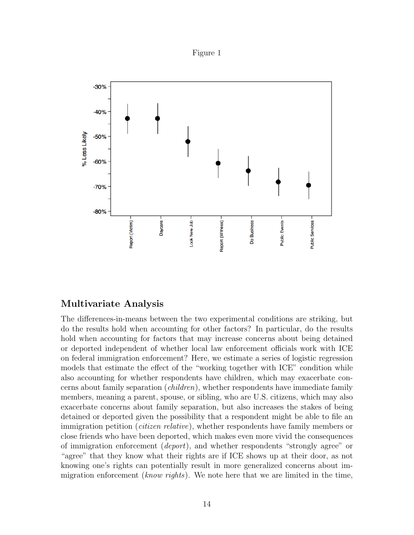



#### Multivariate Analysis

The differences-in-means between the two experimental conditions are striking, but do the results hold when accounting for other factors? In particular, do the results hold when accounting for factors that may increase concerns about being detained or deported independent of whether local law enforcement officials work with ICE on federal immigration enforcement? Here, we estimate a series of logistic regression models that estimate the effect of the "working together with ICE" condition while also accounting for whether respondents have children, which may exacerbate concerns about family separation (children), whether respondents have immediate family members, meaning a parent, spouse, or sibling, who are U.S. citizens, which may also exacerbate concerns about family separation, but also increases the stakes of being detained or deported given the possibility that a respondent might be able to file an immigration petition *(citizen relative)*, whether respondents have family members or close friends who have been deported, which makes even more vivid the consequences of immigration enforcement (*deport*), and whether respondents "strongly agree" or "agree" that they know what their rights are if ICE shows up at their door, as not knowing one's rights can potentially result in more generalized concerns about immigration enforcement (*know rights*). We note here that we are limited in the time,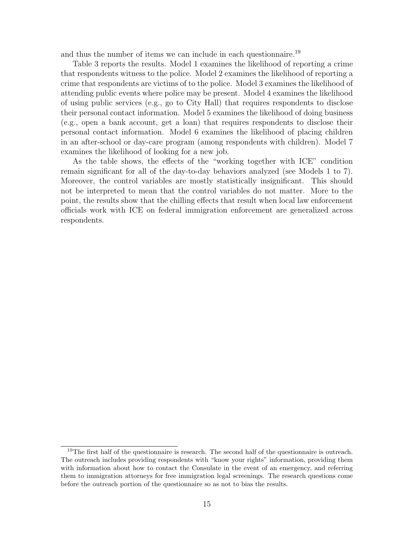and thus the number of items we can include in each questionnaire.<sup>19</sup>

Table 3 reports the results. Model 1 examines the likelihood of reporting a crime that respondents witness to the police. Model 2 examines the likelihood of reporting a crime that respondents are victims of to the police. Model 3 examines the likelihood of attending public events where police may be present. Model 4 examines the likelihood of using public services (e.g., go to City Hall) that requires respondents to disclose their personal contact information. Model 5 examines the likelihood of doing business (e.g., open a bank account, get a loan) that requires respondents to disclose their personal contact information. Model 6 examines the likelihood of placing children in an after-school or day-care program (among respondents with children). Model 7 examines the likelihood of looking for a new job.

As the table shows, the effects of the "working together with ICE" condition remain significant for all of the day-to-day behaviors analyzed (see Models 1 to 7). Moreover, the control variables are mostly statistically insignificant. This should not be interpreted to mean that the control variables do not matter. More to the point, the results show that the chilling effects that result when local law enforcement officials work with ICE on federal immigration enforcement are generalized across respondents.

<sup>&</sup>lt;sup>19</sup>The first half of the questionnaire is research. The second half of the questionnaire is outreach. The outreach includes providing respondents with "know your rights" information, providing them with information about how to contact the Consulate in the event of an emergency, and referring them to immigration attorneys for free immigration legal screenings. The research questions come before the outreach portion of the questionnaire so as not to bias the results.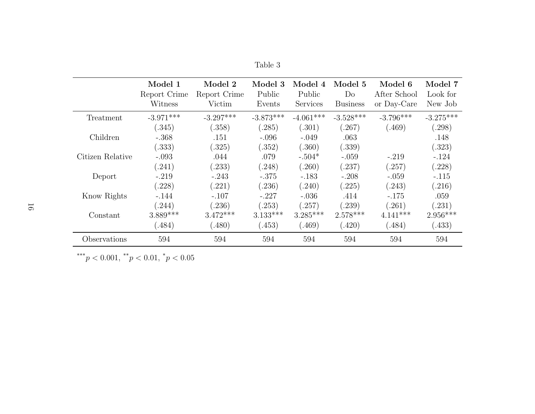|                  | Model 1<br>Report Crime<br>Witness | Model 2<br>Report Crime<br>Victim | Model 3<br>Public<br>Events | Model 4<br>Public<br><b>Services</b> | Model 5<br>Do<br><b>Business</b> | Model 6<br>After School<br>or Day-Care | Model 7<br>Look for<br>New Job |
|------------------|------------------------------------|-----------------------------------|-----------------------------|--------------------------------------|----------------------------------|----------------------------------------|--------------------------------|
| Treatment        | $-3.971***$                        | $-3.297***$                       | $-3.873***$                 | $-4.061***$                          | $-3.528***$                      | $-3.796***$                            | $-3.275***$                    |
|                  | (.345)                             | (.358)                            | (.285)                      | (.301)                               | (0.267)                          | (.469)                                 | (.298)                         |
| Children         | $-.368$                            | .151                              | $-.096$                     | $-.049$                              | .063                             |                                        | .148                           |
|                  | (.333)                             | (.325)                            | (.352)                      | (.360)                               | (.339)                           |                                        | (.323)                         |
| Citizen Relative | $-.093$                            | .044                              | .079                        | $-.504*$                             | $-.059$                          | $-.219$                                | $-.124$                        |
|                  | (.241)                             | (.233)                            | (.248)                      | (.260)                               | (.237)                           | (.257)                                 | (.228)                         |
| Deport           | $-.219$                            | $-.243$                           | $-.375$                     | $-.183$                              | $-.208$                          | $-.059$                                | $-.115$                        |
|                  | (.228)                             | (.221)                            | (.236)                      | (.240)                               | (.225)                           | (.243)                                 | (.216)                         |
| Know Rights      | $-.144$                            | $-.107$                           | $-.227$                     | $-.036$                              | .414                             | $-.175$                                | .059                           |
|                  | (244)                              | (.236)                            | (.253)                      | (.257)                               | (.239)                           | (.261)                                 | (0.231)                        |
| Constant         | $3.889***$                         | $3.472***$                        | $3.133***$                  | $3.285***$                           | $2.578***$                       | $4.141***$                             | $2.956***$                     |
|                  | (.484)                             | (.480)                            | (.453)                      | (.469)                               | (.420)                           | (.484)                                 | (.433)                         |
| Observations     | 594                                | 594                               | 594                         | 594                                  | 594                              | 594                                    | 594                            |

Table 3

\*\*\* $p < 0.001,$ \*\* $p < 0.01,$ \* $p < 0.05$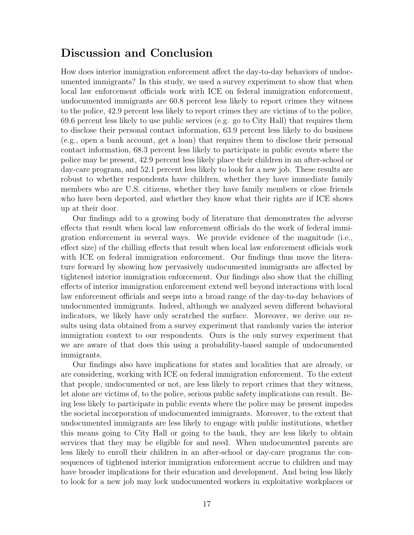## Discussion and Conclusion

How does interior immigration enforcement affect the day-to-day behaviors of undocumented immigrants? In this study, we used a survey experiment to show that when local law enforcement officials work with ICE on federal immigration enforcement, undocumented immigrants are 60.8 percent less likely to report crimes they witness to the police, 42.9 percent less likely to report crimes they are victims of to the police, 69.6 percent less likely to use public services (e.g. go to City Hall) that requires them to disclose their personal contact information, 63.9 percent less likely to do business (e.g., open a bank account, get a loan) that requires them to disclose their personal contact information, 68.3 percent less likely to participate in public events where the police may be present, 42.9 percent less likely place their children in an after-school or day-care program, and 52.1 percent less likely to look for a new job. These results are robust to whether respondents have children, whether they have immediate family members who are U.S. citizens, whether they have family members or close friends who have been deported, and whether they know what their rights are if ICE shows up at their door.

Our findings add to a growing body of literature that demonstrates the adverse effects that result when local law enforcement officials do the work of federal immigration enforcement in several ways. We provide evidence of the magnitude (i.e., effect size) of the chilling effects that result when local law enforcement officials work with ICE on federal immigration enforcement. Our findings thus move the literature forward by showing how pervasively undocumented immigrants are affected by tightened interior immigration enforcement. Our findings also show that the chilling effects of interior immigration enforcement extend well beyond interactions with local law enforcement officials and seeps into a broad range of the day-to-day behaviors of undocumented immigrants. Indeed, although we analyzed seven different behavioral indicators, we likely have only scratched the surface. Moreover, we derive our results using data obtained from a survey experiment that randomly varies the interior immigration context to our respondents. Ours is the only survey experiment that we are aware of that does this using a probability-based sample of undocumented immigrants.

Our findings also have implications for states and localities that are already, or are considering, working with ICE on federal immigration enforcement. To the extent that people, undocumented or not, are less likely to report crimes that they witness, let alone are victims of, to the police, serious public safety implications can result. Being less likely to participate in public events where the police may be present impedes the societal incorporation of undocumented immigrants. Moreover, to the extent that undocumented immigrants are less likely to engage with public institutions, whether this means going to City Hall or going to the bank, they are less likely to obtain services that they may be eligible for and need. When undocumented parents are less likely to enroll their children in an after-school or day-care programs the consequences of tightened interior immigration enforcement accrue to children and may have broader implications for their education and development. And being less likely to look for a new job may lock undocumented workers in exploitative workplaces or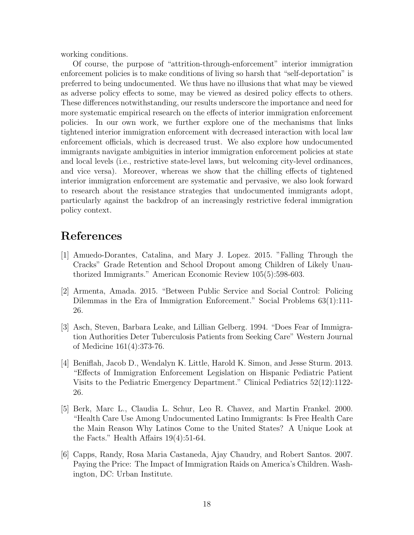working conditions.

Of course, the purpose of "attrition-through-enforcement" interior immigration enforcement policies is to make conditions of living so harsh that "self-deportation" is preferred to being undocumented. We thus have no illusions that what may be viewed as adverse policy effects to some, may be viewed as desired policy effects to others. These differences notwithstanding, our results underscore the importance and need for more systematic empirical research on the effects of interior immigration enforcement policies. In our own work, we further explore one of the mechanisms that links tightened interior immigration enforcement with decreased interaction with local law enforcement officials, which is decreased trust. We also explore how undocumented immigrants navigate ambiguities in interior immigration enforcement policies at state and local levels (i.e., restrictive state-level laws, but welcoming city-level ordinances, and vice versa). Moreover, whereas we show that the chilling effects of tightened interior immigration enforcement are systematic and pervasive, we also look forward to research about the resistance strategies that undocumented immigrants adopt, particularly against the backdrop of an increasingly restrictive federal immigration policy context.

## References

- [1] Amuedo-Dorantes, Catalina, and Mary J. Lopez. 2015. "Falling Through the Cracks" Grade Retention and School Dropout among Children of Likely Unauthorized Immigrants." American Economic Review 105(5):598-603.
- [2] Armenta, Amada. 2015. "Between Public Service and Social Control: Policing Dilemmas in the Era of Immigration Enforcement." Social Problems 63(1):111- 26.
- [3] Asch, Steven, Barbara Leake, and Lillian Gelberg. 1994. "Does Fear of Immigration Authorities Deter Tuberculosis Patients from Seeking Care" Western Journal of Medicine 161(4):373-76.
- [4] Beniflah, Jacob D., Wendalyn K. Little, Harold K. Simon, and Jesse Sturm. 2013. "Effects of Immigration Enforcement Legislation on Hispanic Pediatric Patient Visits to the Pediatric Emergency Department." Clinical Pediatrics 52(12):1122- 26.
- [5] Berk, Marc L., Claudia L. Schur, Leo R. Chavez, and Martin Frankel. 2000. "Health Care Use Among Undocumented Latino Immigrants: Is Free Health Care the Main Reason Why Latinos Come to the United States? A Unique Look at the Facts." Health Affairs 19(4):51-64.
- [6] Capps, Randy, Rosa Maria Castaneda, Ajay Chaudry, and Robert Santos. 2007. Paying the Price: The Impact of Immigration Raids on America's Children. Washington, DC: Urban Institute.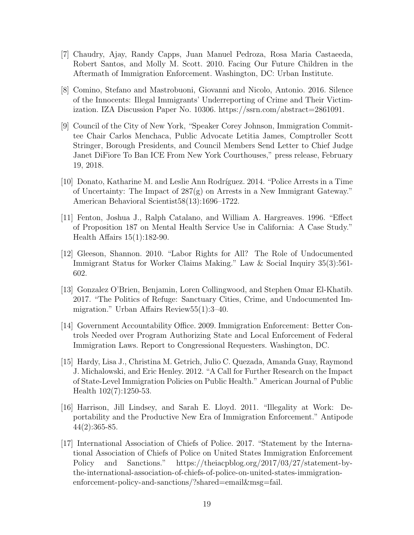- [7] Chaudry, Ajay, Randy Capps, Juan Manuel Pedroza, Rosa Maria Castaeeda, Robert Santos, and Molly M. Scott. 2010. Facing Our Future Children in the Aftermath of Immigration Enforcement. Washington, DC: Urban Institute.
- [8] Comino, Stefano and Mastrobuoni, Giovanni and Nicolo, Antonio. 2016. Silence of the Innocents: Illegal Immigrants' Underreporting of Crime and Their Victimization. IZA Discussion Paper No. 10306. https://ssrn.com/abstract=2861091.
- [9] Council of the City of New York, "Speaker Corey Johnson, Immigration Committee Chair Carlos Menchaca, Public Advocate Letitia James, Comptroller Scott Stringer, Borough Presidents, and Council Members Send Letter to Chief Judge Janet DiFiore To Ban ICE From New York Courthouses," press release, February 19, 2018.
- [10] Donato, Katharine M. and Leslie Ann Rodr´ıguez. 2014. "Police Arrests in a Time of Uncertainty: The Impact of  $287(g)$  on Arrests in a New Immigrant Gateway." American Behavioral Scientist58(13):1696–1722.
- [11] Fenton, Joshua J., Ralph Catalano, and William A. Hargreaves. 1996. "Effect of Proposition 187 on Mental Health Service Use in California: A Case Study." Health Affairs 15(1):182-90.
- [12] Gleeson, Shannon. 2010. "Labor Rights for All? The Role of Undocumented Immigrant Status for Worker Claims Making." Law & Social Inquiry 35(3):561- 602.
- [13] Gonzalez O'Brien, Benjamin, Loren Collingwood, and Stephen Omar El-Khatib. 2017. "The Politics of Refuge: Sanctuary Cities, Crime, and Undocumented Immigration." Urban Affairs Review55(1):3–40.
- [14] Government Accountability Office. 2009. Immigration Enforcement: Better Controls Needed over Program Authorizing State and Local Enforcement of Federal Immigration Laws. Report to Congressional Requesters. Washington, DC.
- [15] Hardy, Lisa J., Christina M. Getrich, Julio C. Quezada, Amanda Guay, Raymond J. Michalowski, and Eric Henley. 2012. "A Call for Further Research on the Impact of State-Level Immigration Policies on Public Health." American Journal of Public Health 102(7):1250-53.
- [16] Harrison, Jill Lindsey, and Sarah E. Lloyd. 2011. "Illegality at Work: Deportability and the Productive New Era of Immigration Enforcement." Antipode 44(2):365-85.
- [17] International Association of Chiefs of Police. 2017. "Statement by the International Association of Chiefs of Police on United States Immigration Enforcement Policy and Sanctions." https://theiacpblog.org/2017/03/27/statement-bythe-international-association-of-chiefs-of-police-on-united-states-immigrationenforcement-policy-and-sanctions/?shared=email&msg=fail.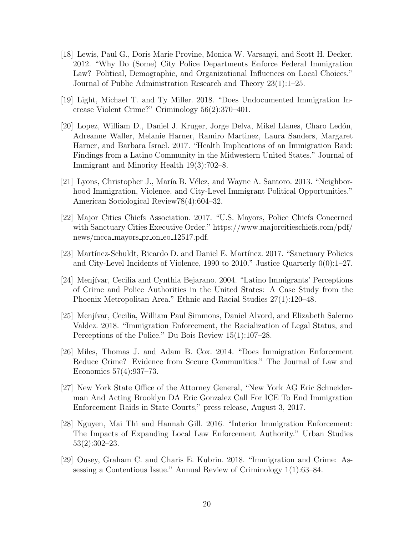- [18] Lewis, Paul G., Doris Marie Provine, Monica W. Varsanyi, and Scott H. Decker. 2012. "Why Do (Some) City Police Departments Enforce Federal Immigration Law? Political, Demographic, and Organizational Influences on Local Choices." Journal of Public Administration Research and Theory 23(1):1–25.
- [19] Light, Michael T. and Ty Miller. 2018. "Does Undocumented Immigration Increase Violent Crime?" Criminology 56(2):370–401.
- [20] Lopez, William D., Daniel J. Kruger, Jorge Delva, Mikel Llanes, Charo Ledón, Adreanne Waller, Melanie Harner, Ramiro Martinez, Laura Sanders, Margaret Harner, and Barbara Israel. 2017. "Health Implications of an Immigration Raid: Findings from a Latino Community in the Midwestern United States." Journal of Immigrant and Minority Health 19(3):702–8.
- [21] Lyons, Christopher J., María B. Vélez, and Wayne A. Santoro. 2013. "Neighborhood Immigration, Violence, and City-Level Immigrant Political Opportunities." American Sociological Review78(4):604–32.
- [22] Major Cities Chiefs Association. 2017. "U.S. Mayors, Police Chiefs Concerned with Sanctuary Cities Executive Order." https://www.majorcitieschiefs.com/pdf/ news/mcca\_mayors\_pr\_on\_eo\_12517.pdf.
- [23] Martínez-Schuldt, Ricardo D. and Daniel E. Martínez. 2017. "Sanctuary Policies" and City-Level Incidents of Violence, 1990 to 2010." Justice Quarterly 0(0):1–27.
- [24] Menjívar, Cecilia and Cynthia Bejarano. 2004. "Latino Immigrants' Perceptions of Crime and Police Authorities in the United States: A Case Study from the Phoenix Metropolitan Area." Ethnic and Racial Studies 27(1):120–48.
- [25] Menjívar, Cecilia, William Paul Simmons, Daniel Alvord, and Elizabeth Salerno Valdez. 2018. "Immigration Enforcement, the Racialization of Legal Status, and Perceptions of the Police." Du Bois Review 15(1):107–28.
- [26] Miles, Thomas J. and Adam B. Cox. 2014. "Does Immigration Enforcement Reduce Crime? Evidence from Secure Communities." The Journal of Law and Economics 57(4):937–73.
- [27] New York State Office of the Attorney General, "New York AG Eric Schneiderman And Acting Brooklyn DA Eric Gonzalez Call For ICE To End Immigration Enforcement Raids in State Courts," press release, August 3, 2017.
- [28] Nguyen, Mai Thi and Hannah Gill. 2016. "Interior Immigration Enforcement: The Impacts of Expanding Local Law Enforcement Authority." Urban Studies 53(2):302–23.
- [29] Ousey, Graham C. and Charis E. Kubrin. 2018. "Immigration and Crime: Assessing a Contentious Issue." Annual Review of Criminology 1(1):63–84.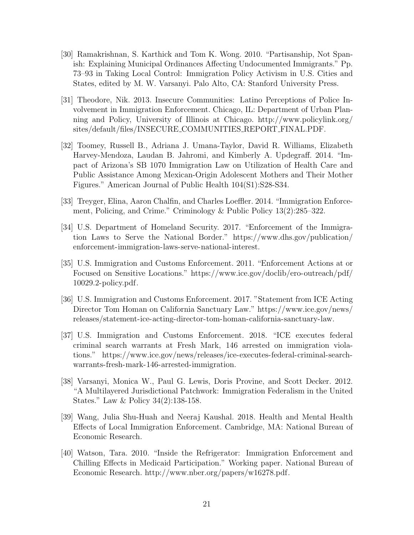- [30] Ramakrishnan, S. Karthick and Tom K. Wong. 2010. "Partisanship, Not Spanish: Explaining Municipal Ordinances Affecting Undocumented Immigrants." Pp. 73–93 in Taking Local Control: Immigration Policy Activism in U.S. Cities and States, edited by M. W. Varsanyi. Palo Alto, CA: Stanford University Press.
- [31] Theodore, Nik. 2013. Insecure Communities: Latino Perceptions of Police Involvement in Immigration Enforcement. Chicago, IL: Department of Urban Planning and Policy, University of Illinois at Chicago. http://www.policylink.org/ sites/default/files/INSECURE COMMUNITIES REPORT FINAL.PDF.
- [32] Toomey, Russell B., Adriana J. Umana-Taylor, David R. Williams, Elizabeth Harvey-Mendoza, Laudan B. Jahromi, and Kimberly A. Updegraff. 2014. "Impact of Arizona's SB 1070 Immigration Law on Utilization of Health Care and Public Assistance Among Mexican-Origin Adolescent Mothers and Their Mother Figures." American Journal of Public Health 104(S1):S28-S34.
- [33] Treyger, Elina, Aaron Chalfin, and Charles Loeffler. 2014. "Immigration Enforcement, Policing, and Crime." Criminology & Public Policy 13(2):285–322.
- [34] U.S. Department of Homeland Security. 2017. "Enforcement of the Immigration Laws to Serve the National Border." https://www.dhs.gov/publication/ enforcement-immigration-laws-serve-national-interest.
- [35] U.S. Immigration and Customs Enforcement. 2011. "Enforcement Actions at or Focused on Sensitive Locations." https://www.ice.gov/doclib/ero-outreach/pdf/ 10029.2-policy.pdf.
- [36] U.S. Immigration and Customs Enforcement. 2017. "Statement from ICE Acting Director Tom Homan on California Sanctuary Law." https://www.ice.gov/news/ releases/statement-ice-acting-director-tom-homan-california-sanctuary-law.
- [37] U.S. Immigration and Customs Enforcement. 2018. "ICE executes federal criminal search warrants at Fresh Mark, 146 arrested on immigration violations." https://www.ice.gov/news/releases/ice-executes-federal-criminal-searchwarrants-fresh-mark-146-arrested-immigration.
- [38] Varsanyi, Monica W., Paul G. Lewis, Doris Provine, and Scott Decker. 2012. "A Multilayered Jurisdictional Patchwork: Immigration Federalism in the United States." Law & Policy 34(2):138-158.
- [39] Wang, Julia Shu-Huah and Neeraj Kaushal. 2018. Health and Mental Health Effects of Local Immigration Enforcement. Cambridge, MA: National Bureau of Economic Research.
- [40] Watson, Tara. 2010. "Inside the Refrigerator: Immigration Enforcement and Chilling Effects in Medicaid Participation." Working paper. National Bureau of Economic Research. http://www.nber.org/papers/w16278.pdf.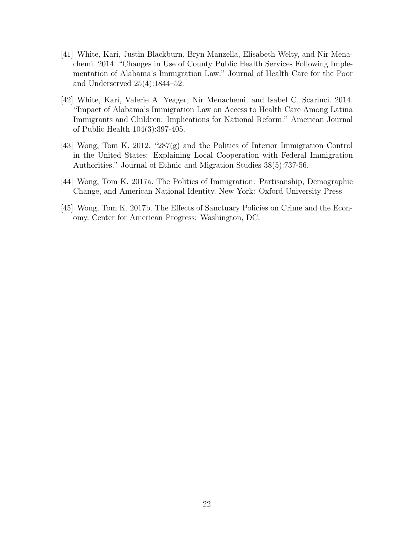- [41] White, Kari, Justin Blackburn, Bryn Manzella, Elisabeth Welty, and Nir Menachemi. 2014. "Changes in Use of County Public Health Services Following Implementation of Alabama's Immigration Law." Journal of Health Care for the Poor and Underserved 25(4):1844–52.
- [42] White, Kari, Valerie A. Yeager, Nir Menachemi, and Isabel C. Scarinci. 2014. "Impact of Alabama's Immigration Law on Access to Health Care Among Latina Immigrants and Children: Implications for National Reform." American Journal of Public Health 104(3):397-405.
- [43] Wong, Tom K. 2012. "287(g) and the Politics of Interior Immigration Control in the United States: Explaining Local Cooperation with Federal Immigration Authorities." Journal of Ethnic and Migration Studies 38(5):737-56.
- [44] Wong, Tom K. 2017a. The Politics of Immigration: Partisanship, Demographic Change, and American National Identity. New York: Oxford University Press.
- [45] Wong, Tom K. 2017b. The Effects of Sanctuary Policies on Crime and the Economy. Center for American Progress: Washington, DC.